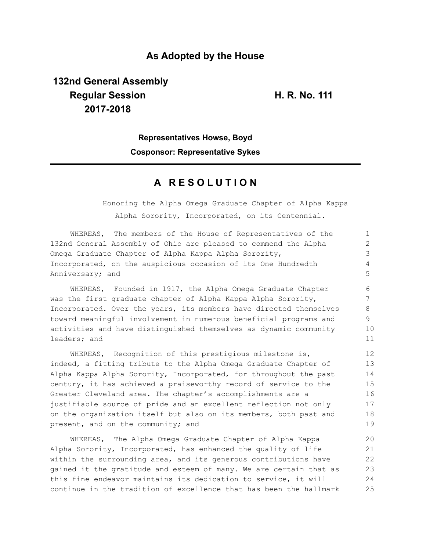#### **As Adopted by the House**

# **132nd General Assembly Regular Session H. R. No. 111 2017-2018**

## **Representatives Howse, Boyd Cosponsor: Representative Sykes**

### **A R E S O L U T I O N**

Honoring the Alpha Omega Graduate Chapter of Alpha Kappa Alpha Sorority, Incorporated, on its Centennial.

| WHEREAS, The members of the House of Representatives of the        | $\mathbf{1}$                |
|--------------------------------------------------------------------|-----------------------------|
| 132nd General Assembly of Ohio are pleased to commend the Alpha    | $\mathcal{D}_{\mathcal{L}}$ |
| Omega Graduate Chapter of Alpha Kappa Alpha Sorority,              | 3                           |
| Incorporated, on the auspicious occasion of its One Hundredth      | 4                           |
| Anniversary; and                                                   | 5                           |
| WHEREAS, Founded in 1917, the Alpha Omega Graduate Chapter         | 6                           |
| was the first graduate chapter of Alpha Kappa Alpha Sorority,      | 7                           |
| Incorporated. Over the years, its members have directed themselves | 8                           |
| toward meaningful involvement in numerous beneficial programs and  | 9                           |
| activities and have distinguished themselves as dynamic community  | 10                          |
| leaders; and                                                       | 11                          |
| WHEREAS, Recognition of this prestigious milestone is,             | 12                          |
| indeed, a fitting tribute to the Alpha Omega Graduate Chapter of   | 13                          |
| Alpha Kappa Alpha Sorority, Incorporated, for throughout the past  | 14                          |
| century, it has achieved a praiseworthy record of service to the   | 15                          |
| Greater Cleveland area. The chapter's accomplishments are a        | 16                          |
| justifiable source of pride and an excellent reflection not only   | 17                          |
| on the organization itself but also on its members, both past and  | 18                          |
| present, and on the community; and                                 | 19                          |

WHEREAS, The Alpha Omega Graduate Chapter of Alpha Kappa Alpha Sorority, Incorporated, has enhanced the quality of life within the surrounding area, and its generous contributions have gained it the gratitude and esteem of many. We are certain that as this fine endeavor maintains its dedication to service, it will continue in the tradition of excellence that has been the hallmark 20 21 22 23 24 25